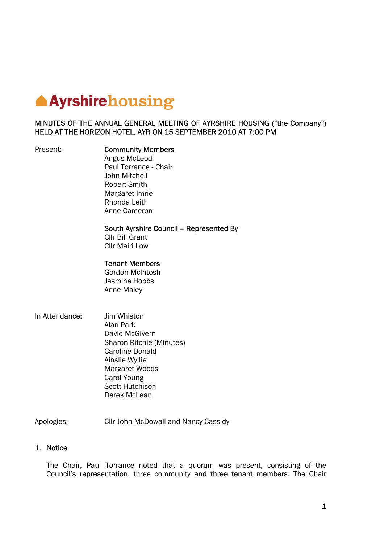# **Ayrshirehousing**

## MINUTES OF THE ANNUAL GENERAL MEETING OF AYRSHIRE HOUSING ("the Company") HELD AT THE HORIZON HOTEL, AYR ON 15 SEPTEMBER 2010 AT 7:00 PM

### Present: **Community Members**

 Angus McLeod Paul Torrance - Chair John Mitchell Robert Smith Margaret Imrie Rhonda Leith Anne Cameron

## South Ayrshire Council – Represented By

 Cllr Bill Grant Cllr Mairi Low

## Tenant Members

Gordon McIntosh Jasmine Hobbs Anne Maley

In Attendance: Jim Whiston Alan Park David McGivern Sharon Ritchie (Minutes) Caroline Donald Ainslie Wyllie Margaret Woods Carol Young Scott Hutchison Derek McLean

Apologies: Cllr John McDowall and Nancy Cassidy

## 1. Notice

The Chair, Paul Torrance noted that a quorum was present, consisting of the Council's representation, three community and three tenant members. The Chair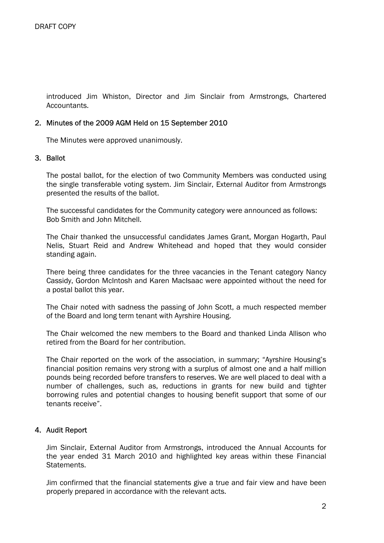introduced Jim Whiston, Director and Jim Sinclair from Armstrongs, Chartered Accountants.

### 2. Minutes of the 2009 AGM Held on 15 September 2010

The Minutes were approved unanimously.

#### 3. Ballot

The postal ballot, for the election of two Community Members was conducted using the single transferable voting system. Jim Sinclair, External Auditor from Armstrongs presented the results of the ballot.

The successful candidates for the Community category were announced as follows: Bob Smith and John Mitchell.

The Chair thanked the unsuccessful candidates James Grant, Morgan Hogarth, Paul Nelis, Stuart Reid and Andrew Whitehead and hoped that they would consider standing again.

There being three candidates for the three vacancies in the Tenant category Nancy Cassidy, Gordon McIntosh and Karen MacIsaac were appointed without the need for a postal ballot this year.

The Chair noted with sadness the passing of John Scott, a much respected member of the Board and long term tenant with Ayrshire Housing.

The Chair welcomed the new members to the Board and thanked Linda Allison who retired from the Board for her contribution.

The Chair reported on the work of the association, in summary; "Ayrshire Housing's financial position remains very strong with a surplus of almost one and a half million pounds being recorded before transfers to reserves. We are well placed to deal with a number of challenges, such as, reductions in grants for new build and tighter borrowing rules and potential changes to housing benefit support that some of our tenants receive".

## 4. Audit Report

Jim Sinclair, External Auditor from Armstrongs, introduced the Annual Accounts for the year ended 31 March 2010 and highlighted key areas within these Financial Statements.

Jim confirmed that the financial statements give a true and fair view and have been properly prepared in accordance with the relevant acts.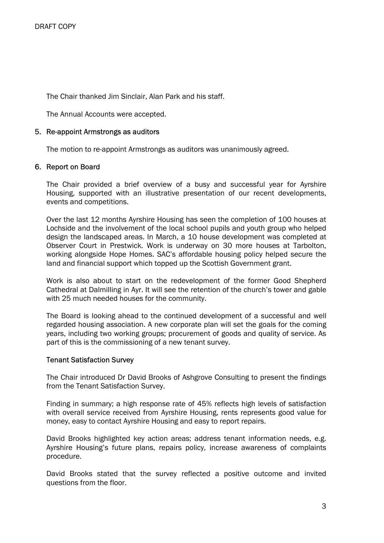The Chair thanked Jim Sinclair, Alan Park and his staff.

The Annual Accounts were accepted.

### 5. Re-appoint Armstrongs as auditors

The motion to re-appoint Armstrongs as auditors was unanimously agreed.

#### 6. Report on Board

The Chair provided a brief overview of a busy and successful year for Ayrshire Housing, supported with an illustrative presentation of our recent developments, events and competitions.

Over the last 12 months Ayrshire Housing has seen the completion of 100 houses at Lochside and the involvement of the local school pupils and youth group who helped design the landscaped areas. In March, a 10 house development was completed at Observer Court in Prestwick. Work is underway on 30 more houses at Tarbolton, working alongside Hope Homes. SAC's affordable housing policy helped secure the land and financial support which topped up the Scottish Government grant.

Work is also about to start on the redevelopment of the former Good Shepherd Cathedral at Dalmilling in Ayr. It will see the retention of the church's tower and gable with 25 much needed houses for the community.

The Board is looking ahead to the continued development of a successful and well regarded housing association. A new corporate plan will set the goals for the coming years, including two working groups; procurement of goods and quality of service. As part of this is the commissioning of a new tenant survey.

#### Tenant Satisfaction Survey

The Chair introduced Dr David Brooks of Ashgrove Consulting to present the findings from the Tenant Satisfaction Survey.

Finding in summary; a high response rate of 45% reflects high levels of satisfaction with overall service received from Ayrshire Housing, rents represents good value for money, easy to contact Ayrshire Housing and easy to report repairs.

David Brooks highlighted key action areas; address tenant information needs, e.g. Ayrshire Housing's future plans, repairs policy, increase awareness of complaints procedure.

David Brooks stated that the survey reflected a positive outcome and invited questions from the floor.